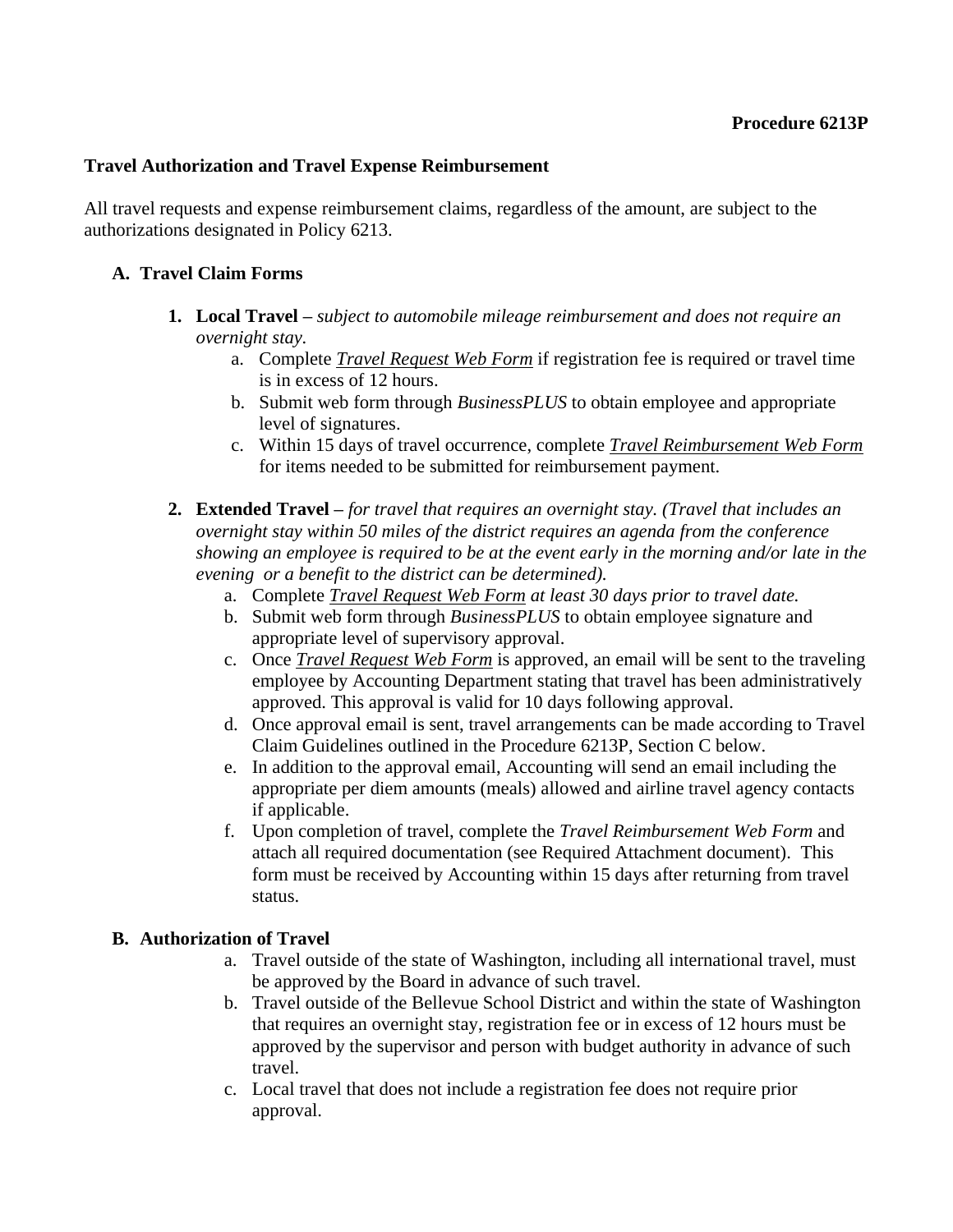### **Travel Authorization and Travel Expense Reimbursement**

All travel requests and expense reimbursement claims, regardless of the amount, are subject to the authorizations designated in Policy 6213.

### **A. Travel Claim Forms**

- **1. Local Travel –** *subject to automobile mileage reimbursement and does not require an overnight stay.*
	- a. Complete *Travel Request Web Form* if registration fee is required or travel time is in excess of 12 hours.
	- b. Submit web form through *BusinessPLUS* to obtain employee and appropriate level of signatures.
	- c. Within 15 days of travel occurrence, complete *Travel Reimbursement Web Form* for items needed to be submitted for reimbursement payment.
- **2. Extended Travel –** *for travel that requires an overnight stay. (Travel that includes an overnight stay within 50 miles of the district requires an agenda from the conference showing an employee is required to be at the event early in the morning and/or late in the evening or a benefit to the district can be determined).*
	- a. Complete *Travel Request Web Form at least 30 days prior to travel date.*
	- b. Submit web form through *BusinessPLUS* to obtain employee signature and appropriate level of supervisory approval.
	- c. Once *Travel Request Web Form* is approved, an email will be sent to the traveling employee by Accounting Department stating that travel has been administratively approved. This approval is valid for 10 days following approval.
	- d. Once approval email is sent, travel arrangements can be made according to Travel Claim Guidelines outlined in the Procedure 6213P, Section C below.
	- e. In addition to the approval email, Accounting will send an email including the appropriate per diem amounts (meals) allowed and airline travel agency contacts if applicable.
	- f. Upon completion of travel, complete the *Travel Reimbursement Web Form* and attach all required documentation (see Required Attachment document). This form must be received by Accounting within 15 days after returning from travel status.

#### **B. Authorization of Travel**

- a. Travel outside of the state of Washington, including all international travel, must be approved by the Board in advance of such travel.
- b. Travel outside of the Bellevue School District and within the state of Washington that requires an overnight stay, registration fee or in excess of 12 hours must be approved by the supervisor and person with budget authority in advance of such travel.
- c. Local travel that does not include a registration fee does not require prior approval.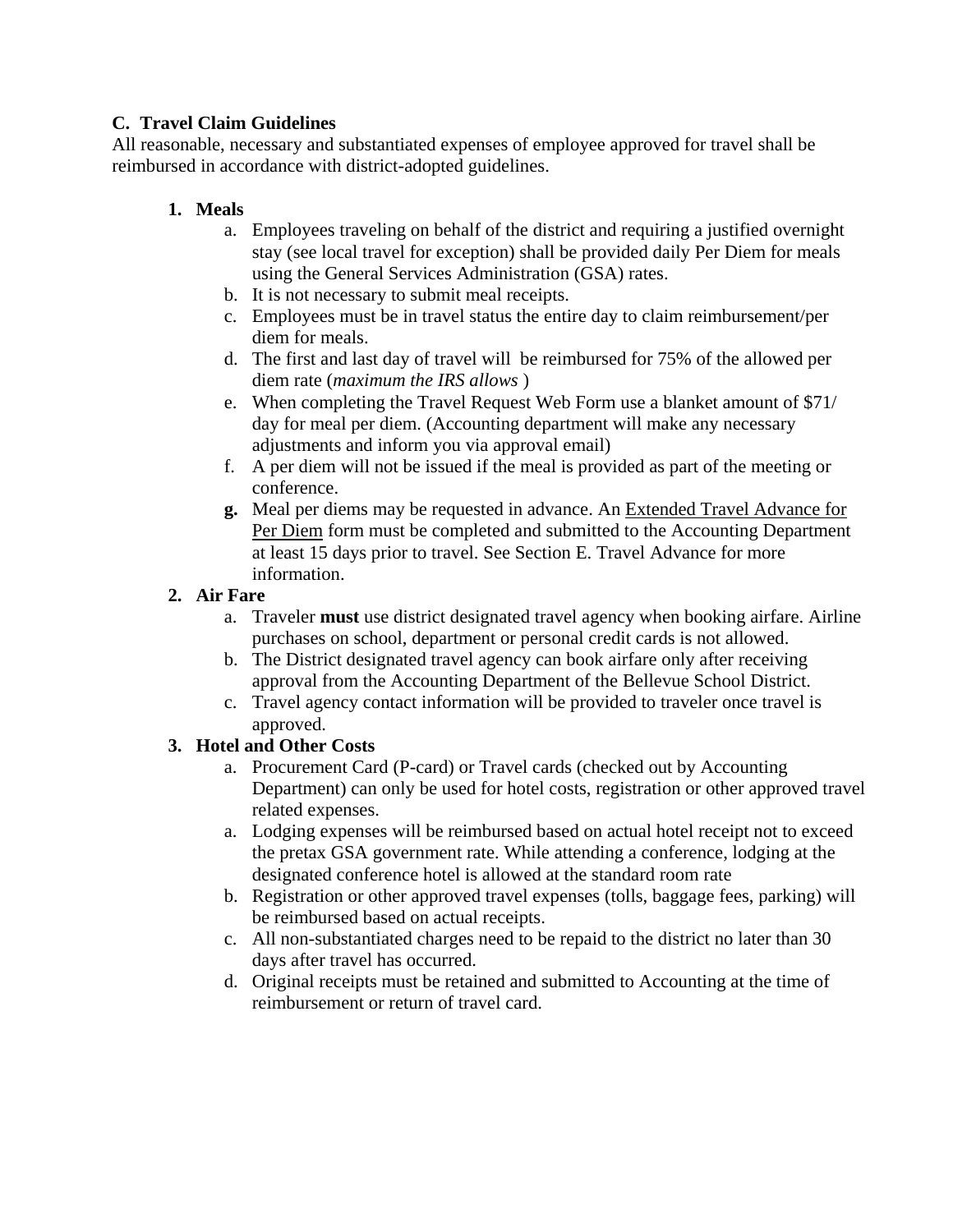## **C. Travel Claim Guidelines**

All reasonable, necessary and substantiated expenses of employee approved for travel shall be reimbursed in accordance with district-adopted guidelines.

# **1. Meals**

- a. Employees traveling on behalf of the district and requiring a justified overnight stay (see local travel for exception) shall be provided daily Per Diem for meals using the General Services Administration (GSA) rates.
- b. It is not necessary to submit meal receipts.
- c. Employees must be in travel status the entire day to claim reimbursement/per diem for meals.
- d. The first and last day of travel will be reimbursed for 75% of the allowed per diem rate (*maximum the IRS allows* )
- e. When completing the Travel Request Web Form use a blanket amount of \$71/ day for meal per diem. (Accounting department will make any necessary adjustments and inform you via approval email)
- f. A per diem will not be issued if the meal is provided as part of the meeting or conference.
- **g.** Meal per diems may be requested in advance. An Extended Travel Advance for Per Diem form must be completed and submitted to the Accounting Department at least 15 days prior to travel. See Section E. Travel Advance for more information.

## **2. Air Fare**

- a. Traveler **must** use district designated travel agency when booking airfare. Airline purchases on school, department or personal credit cards is not allowed.
- b. The District designated travel agency can book airfare only after receiving approval from the Accounting Department of the Bellevue School District.
- c. Travel agency contact information will be provided to traveler once travel is approved.

# **3. Hotel and Other Costs**

- a. Procurement Card (P-card) or Travel cards (checked out by Accounting Department) can only be used for hotel costs, registration or other approved travel related expenses.
- a. Lodging expenses will be reimbursed based on actual hotel receipt not to exceed the pretax GSA government rate. While attending a conference, lodging at the designated conference hotel is allowed at the standard room rate
- b. Registration or other approved travel expenses (tolls, baggage fees, parking) will be reimbursed based on actual receipts.
- c. All non-substantiated charges need to be repaid to the district no later than 30 days after travel has occurred.
- d. Original receipts must be retained and submitted to Accounting at the time of reimbursement or return of travel card.